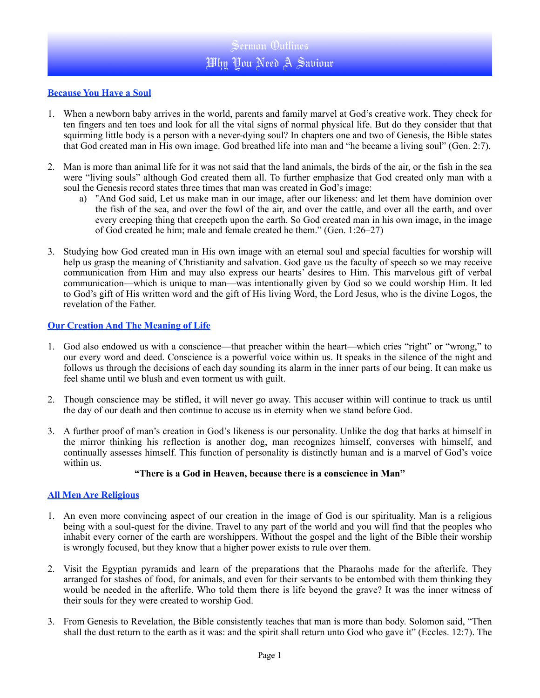## **Because You Have a Soul**

- 1. When a newborn baby arrives in the world, parents and family marvel at God's creative work. They check for ten fingers and ten toes and look for all the vital signs of normal physical life. But do they consider that that squirming little body is a person with a never-dying soul? In chapters one and two of Genesis, the Bible states that God created man in His own image. God breathed life into man and "he became a living soul" (Gen. 2:7).
- 2. Man is more than animal life for it was not said that the land animals, the birds of the air, or the fish in the sea were "living souls" although God created them all. To further emphasize that God created only man with a soul the Genesis record states three times that man was created in God's image:
	- a) "And God said, Let us make man in our image, after our likeness: and let them have dominion over the fish of the sea, and over the fowl of the air, and over the cattle, and over all the earth, and over every creeping thing that creepeth upon the earth. So God created man in his own image, in the image of God created he him; male and female created he them." (Gen. 1:26–27)
- 3. Studying how God created man in His own image with an eternal soul and special faculties for worship will help us grasp the meaning of Christianity and salvation. God gave us the faculty of speech so we may receive communication from Him and may also express our hearts' desires to Him. This marvelous gift of verbal communication—which is unique to man—was intentionally given by God so we could worship Him. It led to God's gift of His written word and the gift of His living Word, the Lord Jesus, who is the divine Logos, the revelation of the Father.

## **Our Creation And The Meaning of Life**

- 1. God also endowed us with a conscience—that preacher within the heart—which cries "right" or "wrong," to our every word and deed. Conscience is a powerful voice within us. It speaks in the silence of the night and follows us through the decisions of each day sounding its alarm in the inner parts of our being. It can make us feel shame until we blush and even torment us with guilt.
- 2. Though conscience may be stifled, it will never go away. This accuser within will continue to track us until the day of our death and then continue to accuse us in eternity when we stand before God.
- 3. A further proof of man's creation in God's likeness is our personality. Unlike the dog that barks at himself in the mirror thinking his reflection is another dog, man recognizes himself, converses with himself, and continually assesses himself. This function of personality is distinctly human and is a marvel of God's voice within us.

#### **"There is a God in Heaven, because there is a conscience in Man"**

# **All Men Are Religious**

- 1. An even more convincing aspect of our creation in the image of God is our spirituality. Man is a religious being with a soul-quest for the divine. Travel to any part of the world and you will find that the peoples who inhabit every corner of the earth are worshippers. Without the gospel and the light of the Bible their worship is wrongly focused, but they know that a higher power exists to rule over them.
- 2. Visit the Egyptian pyramids and learn of the preparations that the Pharaohs made for the afterlife. They arranged for stashes of food, for animals, and even for their servants to be entombed with them thinking they would be needed in the afterlife. Who told them there is life beyond the grave? It was the inner witness of their souls for they were created to worship God.
- 3. From Genesis to Revelation, the Bible consistently teaches that man is more than body. Solomon said, "Then shall the dust return to the earth as it was: and the spirit shall return unto God who gave it" (Eccles. 12:7). The